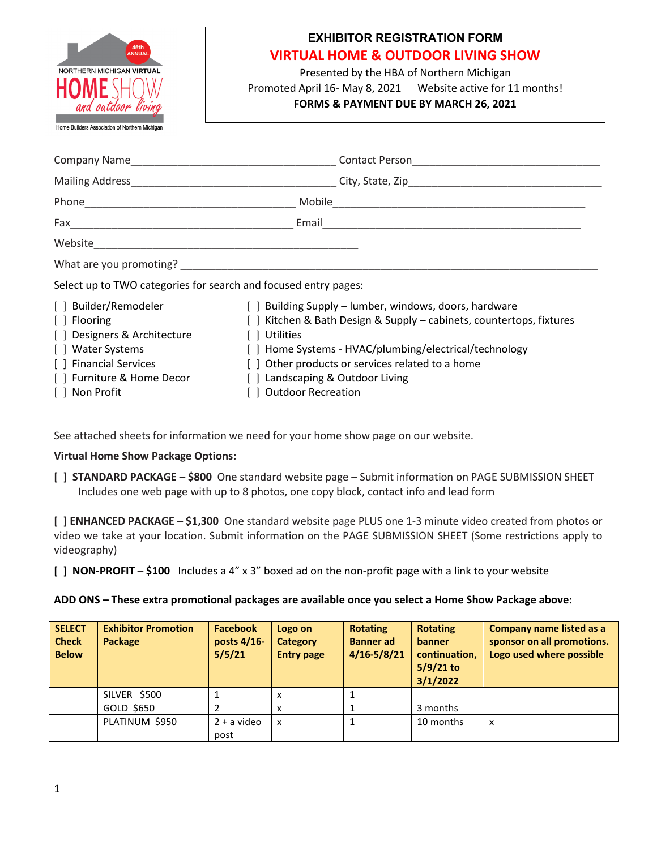

# **EXHIBITOR REGISTRATION FORM VIRTUAL HOME & OUTDOOR LIVING SHOW**

Presented by the HBA of Northern Michigan Promoted April 16- May 8, 2021 Website active for 11 months! **FORMS & PAYMENT DUE BY MARCH 26, 2021**

| What are you promoting? Notified that the contract of the contract of the contract of the contract of the contract of the contract of the contract of the contract of the contract of the contract of the contract of the cont |                                                                                                                                                                                                                                                                                                                         |
|--------------------------------------------------------------------------------------------------------------------------------------------------------------------------------------------------------------------------------|-------------------------------------------------------------------------------------------------------------------------------------------------------------------------------------------------------------------------------------------------------------------------------------------------------------------------|
| Select up to TWO categories for search and focused entry pages:                                                                                                                                                                |                                                                                                                                                                                                                                                                                                                         |
| [ ] Builder/Remodeler<br>[ ] Flooring<br>[] Designers & Architecture<br>[ ] Water Systems<br>[ ] Financial Services<br>[] Furniture & Home Decor<br>[ ] Non Profit                                                             | [ ] Building Supply – lumber, windows, doors, hardware<br>[] Kitchen & Bath Design & Supply – cabinets, countertops, fixtures<br>Utilities<br>[ ] Home Systems - HVAC/plumbing/electrical/technology<br>[] Other products or services related to a home<br>[] Landscaping & Outdoor Living<br><b>Outdoor Recreation</b> |

See attached sheets for information we need for your home show page on our website.

## **Virtual Home Show Package Options:**

**[ ] STANDARD PACKAGE – \$800** One standard website page – Submit information on PAGE SUBMISSION SHEET Includes one web page with up to 8 photos, one copy block, contact info and lead form

**[ ] ENHANCED PACKAGE – \$1,300** One standard website page PLUS one 1-3 minute video created from photos or video we take at your location. Submit information on the PAGE SUBMISSION SHEET (Some restrictions apply to videography)

**[ ] NON-PROFIT – \$100** Includes a 4" x 3" boxed ad on the non-profit page with a link to your website

### **ADD ONS – These extra promotional packages are available once you select a Home Show Package above:**

| <b>SELECT</b><br><b>Check</b><br><b>Below</b> | <b>Exhibitor Promotion</b><br>Package | <b>Facebook</b><br>posts 4/16-<br>5/5/21 | Logo on<br><b>Category</b><br><b>Entry page</b> | <b>Rotating</b><br><b>Banner</b> ad<br>$4/16 - 5/8/21$ | <b>Rotating</b><br><b>banner</b><br>continuation,<br>$5/9/21$ to<br>3/1/2022 | <b>Company name listed as a</b><br>sponsor on all promotions.<br>Logo used where possible |
|-----------------------------------------------|---------------------------------------|------------------------------------------|-------------------------------------------------|--------------------------------------------------------|------------------------------------------------------------------------------|-------------------------------------------------------------------------------------------|
|                                               | SILVER \$500                          |                                          | х                                               |                                                        |                                                                              |                                                                                           |
|                                               | GOLD \$650                            |                                          | x                                               |                                                        | 3 months                                                                     |                                                                                           |
|                                               | PLATINUM \$950                        | $2 + a$ video<br>post                    | x                                               |                                                        | 10 months                                                                    | X                                                                                         |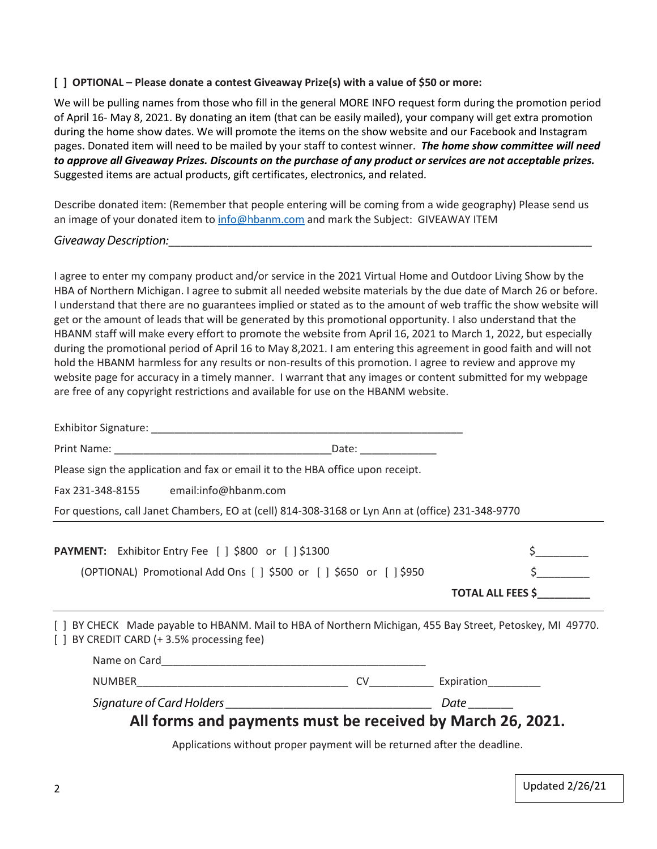## **[ ] OPTIONAL – Please donate a contest Giveaway Prize(s) with a value of \$50 or more:**

We will be pulling names from those who fill in the general MORE INFO request form during the promotion period of April 16- May 8, 2021. By donating an item (that can be easily mailed), your company will get extra promotion during the home show dates. We will promote the items on the show website and our Facebook and Instagram pages. Donated item will need to be mailed by your staff to contest winner. *The home show committee will need to approve all Giveaway Prizes. Discounts on the purchase of any product or services are not acceptable prizes.* Suggested items are actual products, gift certificates, electronics, and related.

Describe donated item: (Remember that people entering will be coming from a wide geography) Please send us an image of your donated item to [info@hbanm.com](mailto:info@hbanm.com) and mark the Subject: GIVEAWAY ITEM

## *Giveaway Description:*\_\_\_\_\_\_\_\_\_\_\_\_\_\_\_\_\_\_\_\_\_\_\_\_\_\_\_\_\_\_\_\_\_\_\_\_\_\_\_\_\_\_\_\_\_\_\_\_\_\_\_\_\_\_\_\_\_\_\_\_\_\_\_\_\_\_\_\_\_\_\_\_

I agree to enter my company product and/or service in the 2021 Virtual Home and Outdoor Living Show by the HBA of Northern Michigan. I agree to submit all needed website materials by the due date of March 26 or before. I understand that there are no guarantees implied or stated as to the amount of web traffic the show website will get or the amount of leads that will be generated by this promotional opportunity. I also understand that the HBANM staff will make every effort to promote the website from April 16, 2021 to March 1, 2022, but especially during the promotional period of April 16 to May 8,2021. I am entering this agreement in good faith and will not hold the HBANM harmless for any results or non-results of this promotion. I agree to review and approve my website page for accuracy in a timely manner. I warrant that any images or content submitted for my webpage are free of any copyright restrictions and available for use on the HBANM website.

| Please sign the application and fax or email it to the HBA office upon receipt.                                                                         |                                                                          |                          |
|---------------------------------------------------------------------------------------------------------------------------------------------------------|--------------------------------------------------------------------------|--------------------------|
| Fax 231-348-8155 email:info@hbanm.com                                                                                                                   |                                                                          |                          |
| For questions, call Janet Chambers, EO at (cell) 814-308-3168 or Lyn Ann at (office) 231-348-9770                                                       |                                                                          |                          |
| <b>PAYMENT:</b> Exhibitor Entry Fee [ ] \$800 or [ ] \$1300                                                                                             |                                                                          |                          |
| (OPTIONAL) Promotional Add Ons [ ] \$500 or [ ] \$650 or [ ] \$950                                                                                      |                                                                          | $\zeta$                  |
|                                                                                                                                                         |                                                                          | <b>TOTAL ALL FEES \$</b> |
| [ ] BY CHECK Made payable to HBANM. Mail to HBA of Northern Michigan, 455 Bay Street, Petoskey, MI 49770.<br>[ ] BY CREDIT CARD (+ 3.5% processing fee) |                                                                          |                          |
|                                                                                                                                                         |                                                                          |                          |
|                                                                                                                                                         |                                                                          |                          |
|                                                                                                                                                         |                                                                          |                          |
| All forms and payments must be received by March 26, 2021.                                                                                              |                                                                          |                          |
|                                                                                                                                                         | Applications without proper payment will be returned after the deadline. |                          |

Updated 2/26/21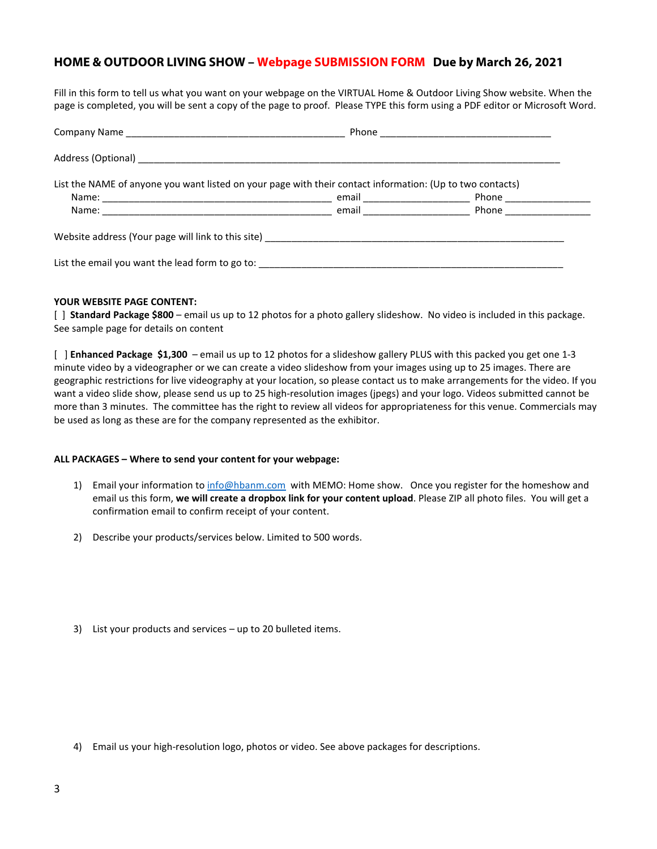## **HOME & OUTDOOR LIVING SHOW – Webpage SUBMISSION FORM Due by March 26, 2021**

Fill in this form to tell us what you want on your webpage on the VIRTUAL Home & Outdoor Living Show website. When the page is completed, you will be sent a copy of the page to proof. Please TYPE this form using a PDF editor or Microsoft Word.

|                                                                                                           | Phone <u>_____________________________</u> |  |
|-----------------------------------------------------------------------------------------------------------|--------------------------------------------|--|
|                                                                                                           |                                            |  |
| List the NAME of anyone you want listed on your page with their contact information: (Up to two contacts) |                                            |  |
|                                                                                                           | Phone _______________                      |  |
|                                                                                                           |                                            |  |
| List the email you want the lead form to go to: ________________________________                          |                                            |  |

#### **YOUR WEBSITE PAGE CONTENT:**

[ ] **Standard Package \$800** – email us up to 12 photos for a photo gallery slideshow. No video is included in this package. See sample page for details on content

[ ] **Enhanced Package \$1,300** – email us up to 12 photos for a slideshow gallery PLUS with this packed you get one 1-3 minute video by a videographer or we can create a video slideshow from your images using up to 25 images. There are geographic restrictions for live videography at your location, so please contact us to make arrangements for the video. If you want a video slide show, please send us up to 25 high-resolution images (jpegs) and your logo. Videos submitted cannot be more than 3 minutes. The committee has the right to review all videos for appropriateness for this venue. Commercials may be used as long as these are for the company represented as the exhibitor.

#### **ALL PACKAGES – Where to send your content for your webpage:**

- 1) Email your information to [info@hbanm.com](mailto:info@hbanm.com) with MEMO: Home show. Once you register for the homeshow and email us this form, **we will create a dropbox link for your content upload**. Please ZIP all photo files. You will get a confirmation email to confirm receipt of your content.
- 2) Describe your products/services below. Limited to 500 words.
- 3) List your products and services up to 20 bulleted items.

4) Email us your high-resolution logo, photos or video. See above packages for descriptions.